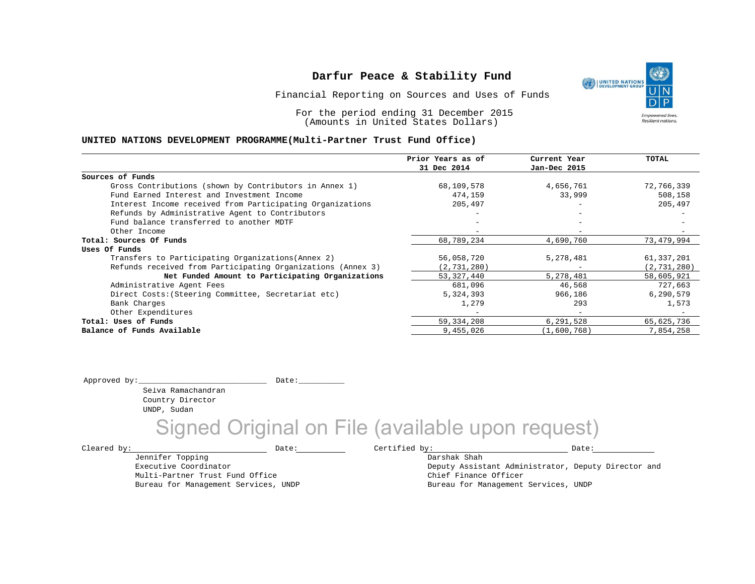Financial Reporting on Sources and Uses of Funds

For the period ending 31 December 2015 (Amounts in United States Dollars)

### **UNITED NATIONS DEVELOPMENT PROGRAMME(Multi-Partner Trust Fund Office)**

|                                                             | Prior Years as of        | Current Year             | TOTAL         |
|-------------------------------------------------------------|--------------------------|--------------------------|---------------|
|                                                             | 31 Dec 2014              | Jan-Dec 2015             |               |
| Sources of Funds                                            |                          |                          |               |
| Gross Contributions (shown by Contributors in Annex 1)      | 68,109,578               | 4,656,761                | 72,766,339    |
| Fund Earned Interest and Investment Income                  | 474,159                  | 33,999                   | 508,158       |
| Interest Income received from Participating Organizations   | 205,497                  | -                        | 205,497       |
| Refunds by Administrative Agent to Contributors             |                          |                          |               |
| Fund balance transferred to another MDTF                    |                          |                          |               |
| Other Income                                                | $\overline{\phantom{m}}$ | $\overline{\phantom{a}}$ |               |
| Total: Sources Of Funds                                     | 68,789,234               | 4,690,760                | 73,479,994    |
| Uses Of Funds                                               |                          |                          |               |
| Transfers to Participating Organizations (Annex 2)          | 56,058,720               | 5,278,481                | 61,337,201    |
| Refunds received from Participating Organizations (Annex 3) | (2, 731, 280)            |                          | (2, 731, 280) |
| Net Funded Amount to Participating Organizations            | 53, 327, 440             | 5,278,481                | 58,605,921    |
| Administrative Agent Fees                                   | 681,096                  | 46,568                   | 727,663       |
| Direct Costs: (Steering Committee, Secretariat etc)         | 5,324,393                | 966,186                  | 6,290,579     |
| Bank Charges                                                | 1,279                    | 293                      | 1,573         |
| Other Expenditures                                          |                          | $-$                      |               |
| Total: Uses of Funds                                        | 59, 334, 208             | 6,291,528                | 65,625,736    |
| Balance of Funds Available                                  | 9,455,026                | (1,600,768)              | 7,854,258     |

Approved by:\_\_\_\_\_\_\_\_\_\_\_\_\_\_\_\_\_\_\_\_\_\_\_\_\_\_\_\_ Date:\_\_\_\_\_\_\_\_\_\_

Selva Ramachandran Country Director UNDP, Sudan

Jennifer Topping Executive Coordinator

Multi-Partner Trust Fund Office Bureau for Management Services, UNDP

## Signed Original on File (available upon request)

 $\texttt{Cleared by:}\footnotesize \begin{minipage}{14pt} \begin{tabular}{p{0.87\textwidth}p{0.87\textwidth}} \centering \end{tabular} \end{minipage}$ 

Darshak Shah Deputy Assistant Administrator, Deputy Director and Chief Finance Officer Bureau for Management Services, UNDP

UNITED NATIONS **Empowered lives Resilient nations.**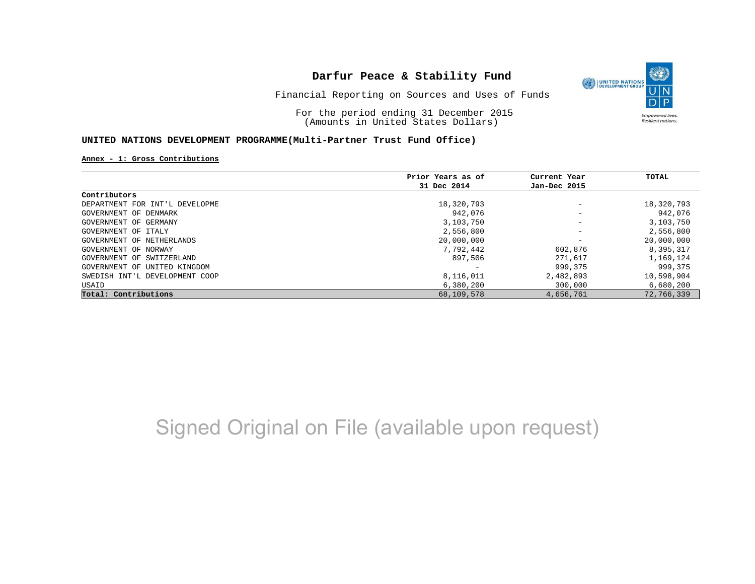

Financial Reporting on Sources and Uses of Funds

For the period ending 31 December 2015 (Amounts in United States Dollars)

#### **UNITED NATIONS DEVELOPMENT PROGRAMME(Multi-Partner Trust Fund Office)**

#### **Annex - 1: Gross Contributions**

|                                | Prior Years as of | Current Year             | TOTAL      |
|--------------------------------|-------------------|--------------------------|------------|
|                                | 31 Dec 2014       | Jan-Dec 2015             |            |
| Contributors                   |                   |                          |            |
| DEPARTMENT FOR INT'L DEVELOPME | 18,320,793        | $\overline{\phantom{m}}$ | 18,320,793 |
| GOVERNMENT OF DENMARK          | 942,076           |                          | 942,076    |
| GOVERNMENT OF GERMANY          | 3,103,750         | $\overline{\phantom{m}}$ | 3,103,750  |
| GOVERNMENT OF ITALY            | 2,556,800         | $\overline{\phantom{m}}$ | 2,556,800  |
| GOVERNMENT OF NETHERLANDS      | 20,000,000        | $\overline{\phantom{0}}$ | 20,000,000 |
| GOVERNMENT OF NORWAY           | 7,792,442         | 602,876                  | 8,395,317  |
| GOVERNMENT OF SWITZERLAND      | 897,506           | 271,617                  | 1,169,124  |
| GOVERNMENT OF UNITED KINGDOM   |                   | 999,375                  | 999, 375   |
| SWEDISH INT'L DEVELOPMENT COOP | 8,116,011         | 2,482,893                | 10,598,904 |
| USAID                          | 6,380,200         | 300,000                  | 6,680,200  |
| Total: Contributions           | 68,109,578        | 4,656,761                | 72,766,339 |

# Signed Original on File (available upon request)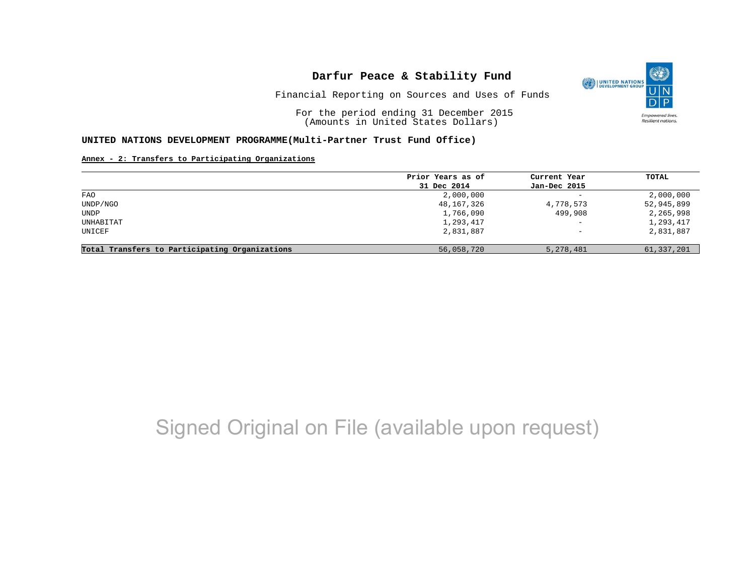

Financial Reporting on Sources and Uses of Funds

For the period ending 31 December 2015 (Amounts in United States Dollars)

#### **UNITED NATIONS DEVELOPMENT PROGRAMME(Multi-Partner Trust Fund Office)**

### **Annex - 2: Transfers to Participating Organizations**

|                                                | Prior Years as of | Current Year             | TOTAL      |
|------------------------------------------------|-------------------|--------------------------|------------|
|                                                | 31 Dec 2014       | Jan-Dec 2015             |            |
| FAO                                            | 2,000,000         | $\overline{\phantom{0}}$ | 2,000,000  |
| UNDP/NGO                                       | 48,167,326        | 4,778,573                | 52,945,899 |
| UNDP                                           | 1,766,090         | 499,908                  | 2,265,998  |
| UNHABITAT                                      | 1,293,417         | $\qquad \qquad -$        | 1,293,417  |
| UNICEF                                         | 2,831,887         | $\overline{\phantom{0}}$ | 2,831,887  |
| Total Transfers to Participating Organizations | 56,058,720        | 5,278,481                | 61,337,201 |

## Signed Original on File (available upon request)